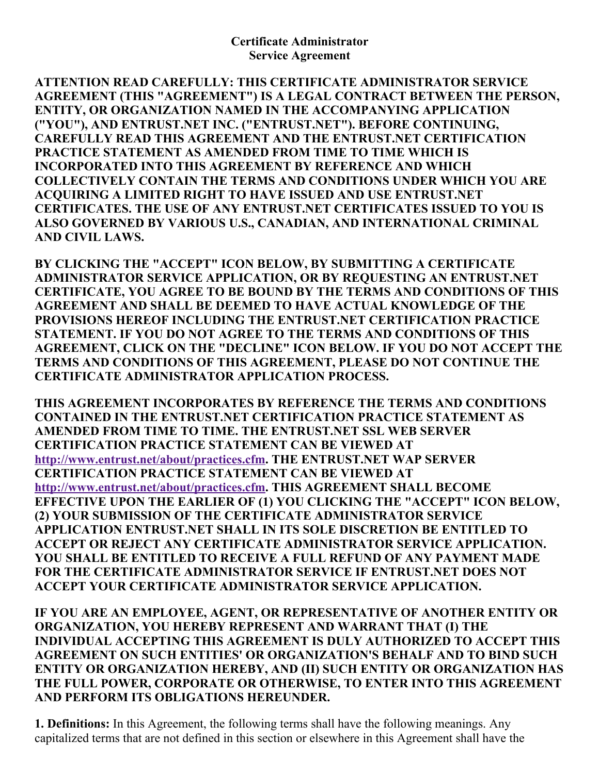ATTENTION READ CAREFULLY: THIS CERTIFICATE ADMINISTRATOR SERVICE AGREEMENT (THIS "AGREEMENT") IS A LEGAL CONTRACT BETWEEN THE PERSON, ENTITY, OR ORGANIZATION NAMED IN THE ACCOMPANYING APPLICATION ("YOU"), AND ENTRUST.NET INC. ("ENTRUST.NET"). BEFORE CONTINUING, CAREFULLY READ THIS AGREEMENT AND THE ENTRUST.NET CERTIFICATION PRACTICE STATEMENT AS AMENDED FROM TIME TO TIME WHICH IS INCORPORATED INTO THIS AGREEMENT BY REFERENCE AND WHICH COLLECTIVELY CONTAIN THE TERMS AND CONDITIONS UNDER WHICH YOU ARE ACQUIRING A LIMITED RIGHT TO HAVE ISSUED AND USE ENTRUST.NET CERTIFICATES. THE USE OF ANY ENTRUST.NET CERTIFICATES ISSUED TO YOU IS ALSO GOVERNED BY VARIOUS U.S., CANADIAN, AND INTERNATIONAL CRIMINAL AND CIVIL LAWS.

BY CLICKING THE "ACCEPT" ICON BELOW, BY SUBMITTING A CERTIFICATE ADMINISTRATOR SERVICE APPLICATION, OR BY REQUESTING AN ENTRUST.NET CERTIFICATE, YOU AGREE TO BE BOUND BY THE TERMS AND CONDITIONS OF THIS AGREEMENT AND SHALL BE DEEMED TO HAVE ACTUAL KNOWLEDGE OF THE PROVISIONS HEREOF INCLUDING THE ENTRUST.NET CERTIFICATION PRACTICE STATEMENT. IF YOU DO NOT AGREE TO THE TERMS AND CONDITIONS OF THIS AGREEMENT, CLICK ON THE "DECLINE" ICON BELOW. IF YOU DO NOT ACCEPT THE TERMS AND CONDITIONS OF THIS AGREEMENT, PLEASE DO NOT CONTINUE THE CERTIFICATE ADMINISTRATOR APPLICATION PROCESS.

THIS AGREEMENT INCORPORATES BY REFERENCE THE TERMS AND CONDITIONS CONTAINED IN THE ENTRUST.NET CERTIFICATION PRACTICE STATEMENT AS AMENDED FROM TIME TO TIME. THE ENTRUST.NET SSL WEB SERVER CERTIFICATION PRACTICE STATEMENT CAN BE VIEWED AT [http://www.entrust.net/about/practices.cfm.](http://www.entrust.net/about/practices.cfm) THE ENTRUST.NET WAP SERVER CERTIFICATION PRACTICE STATEMENT CAN BE VIEWED AT [http://www.entrust.net/about/practices.cfm.](http://www.entrust.net/about/practices.cfm) THIS AGREEMENT SHALL BECOME EFFECTIVE UPON THE EARLIER OF (1) YOU CLICKING THE "ACCEPT" ICON BELOW, (2) YOUR SUBMISSION OF THE CERTIFICATE ADMINISTRATOR SERVICE APPLICATION ENTRUST.NET SHALL IN ITS SOLE DISCRETION BE ENTITLED TO ACCEPT OR REJECT ANY CERTIFICATE ADMINISTRATOR SERVICE APPLICATION. YOU SHALL BE ENTITLED TO RECEIVE A FULL REFUND OF ANY PAYMENT MADE FOR THE CERTIFICATE ADMINISTRATOR SERVICE IF ENTRUST.NET DOES NOT ACCEPT YOUR CERTIFICATE ADMINISTRATOR SERVICE APPLICATION.

IF YOU ARE AN EMPLOYEE, AGENT, OR REPRESENTATIVE OF ANOTHER ENTITY OR ORGANIZATION, YOU HEREBY REPRESENT AND WARRANT THAT (I) THE INDIVIDUAL ACCEPTING THIS AGREEMENT IS DULY AUTHORIZED TO ACCEPT THIS AGREEMENT ON SUCH ENTITIES' OR ORGANIZATION'S BEHALF AND TO BIND SUCH ENTITY OR ORGANIZATION HEREBY, AND (II) SUCH ENTITY OR ORGANIZATION HAS THE FULL POWER, CORPORATE OR OTHERWISE, TO ENTER INTO THIS AGREEMENT AND PERFORM ITS OBLIGATIONS HEREUNDER.

1. Definitions: In this Agreement, the following terms shall have the following meanings. Any capitalized terms that are not defined in this section or elsewhere in this Agreement shall have the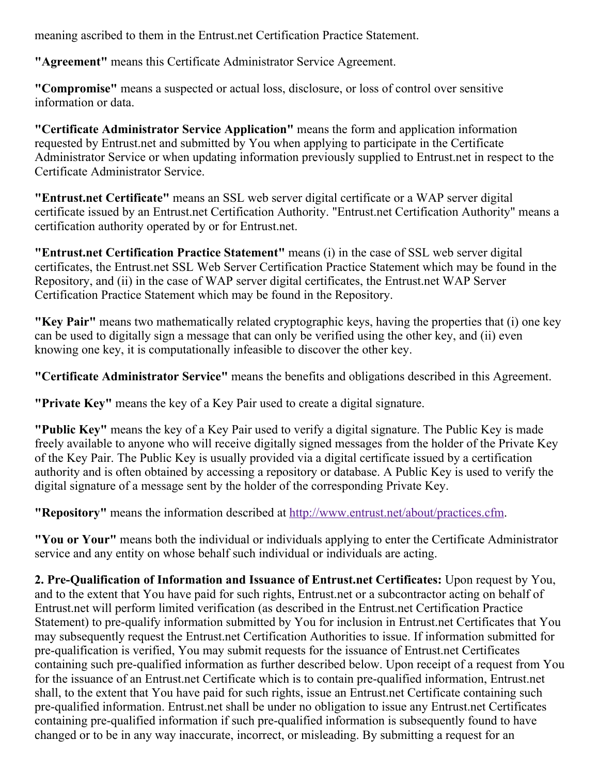meaning ascribed to them in the Entrust.net Certification Practice Statement.

"Agreement" means this Certificate Administrator Service Agreement.

"Compromise" means a suspected or actual loss, disclosure, or loss of control over sensitive information or data.

"Certificate Administrator Service Application" means the form and application information requested by Entrust.net and submitted by You when applying to participate in the Certificate Administrator Service or when updating information previously supplied to Entrust.net in respect to the Certificate Administrator Service.

"Entrust.net Certificate" means an SSL web server digital certificate or a WAP server digital certificate issued by an Entrust.net Certification Authority. "Entrust.net Certification Authority" means a certification authority operated by or for Entrust.net.

"Entrust.net Certification Practice Statement" means (i) in the case of SSL web server digital certificates, the Entrust.net SSL Web Server Certification Practice Statement which may be found in the Repository, and (ii) in the case of WAP server digital certificates, the Entrust.net WAP Server Certification Practice Statement which may be found in the Repository.

"Key Pair" means two mathematically related cryptographic keys, having the properties that (i) one key can be used to digitally sign a message that can only be verified using the other key, and (ii) even knowing one key, it is computationally infeasible to discover the other key.

"Certificate Administrator Service" means the benefits and obligations described in this Agreement.

"Private Key" means the key of a Key Pair used to create a digital signature.

"Public Key" means the key of a Key Pair used to verify a digital signature. The Public Key is made freely available to anyone who will receive digitally signed messages from the holder of the Private Key of the Key Pair. The Public Key is usually provided via a digital certificate issued by a certification authority and is often obtained by accessing a repository or database. A Public Key is used to verify the digital signature of a message sent by the holder of the corresponding Private Key.

"Repository" means the information described at [http://www.entrust.net/about/practices.cfm.](http://www.entrust.net/about/practices.cfm)

"You or Your" means both the individual or individuals applying to enter the Certificate Administrator service and any entity on whose behalf such individual or individuals are acting.

2. Pre-Qualification of Information and Issuance of Entrust.net Certificates: Upon request by You, and to the extent that You have paid for such rights, Entrust.net or a subcontractor acting on behalf of Entrust.net will perform limited verification (as described in the Entrust.net Certification Practice Statement) to pre-qualify information submitted by You for inclusion in Entrust.net Certificates that You may subsequently request the Entrust.net Certification Authorities to issue. If information submitted for pre-qualification is verified, You may submit requests for the issuance of Entrust.net Certificates containing such pre-qualified information as further described below. Upon receipt of a request from You for the issuance of an Entrust.net Certificate which is to contain pre-qualified information, Entrust.net shall, to the extent that You have paid for such rights, issue an Entrust.net Certificate containing such pre-qualified information. Entrust.net shall be under no obligation to issue any Entrust.net Certificates containing pre-qualified information if such pre-qualified information is subsequently found to have changed or to be in any way inaccurate, incorrect, or misleading. By submitting a request for an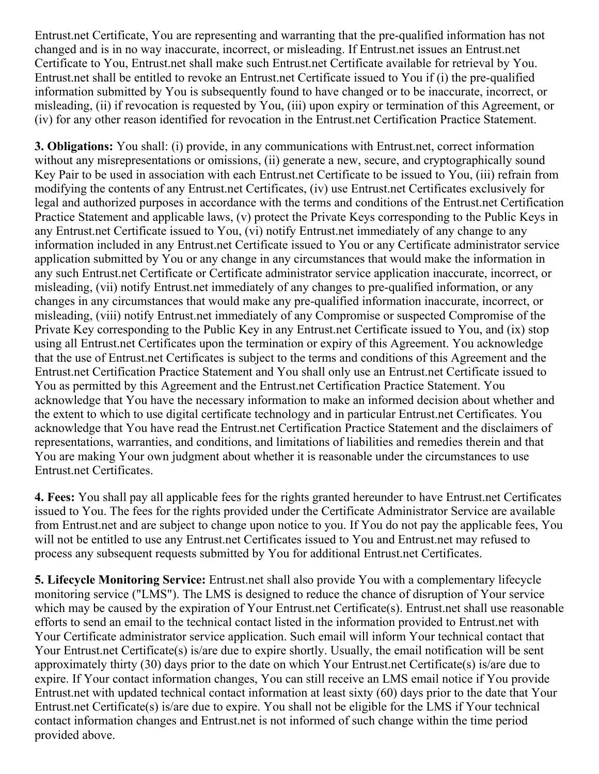Entrust.net Certificate, You are representing and warranting that the pre-qualified information has not changed and is in no way inaccurate, incorrect, or misleading. If Entrust.net issues an Entrust.net Certificate to You, Entrust.net shall make such Entrust.net Certificate available for retrieval by You. Entrust.net shall be entitled to revoke an Entrust.net Certificate issued to You if (i) the pre-qualified information submitted by You is subsequently found to have changed or to be inaccurate, incorrect, or misleading, (ii) if revocation is requested by You, (iii) upon expiry or termination of this Agreement, or (iv) for any other reason identified for revocation in the Entrust.net Certification Practice Statement.

3. Obligations: You shall: (i) provide, in any communications with Entrust.net, correct information without any misrepresentations or omissions, (ii) generate a new, secure, and cryptographically sound Key Pair to be used in association with each Entrust.net Certificate to be issued to You, (iii) refrain from modifying the contents of any Entrust.net Certificates, (iv) use Entrust.net Certificates exclusively for legal and authorized purposes in accordance with the terms and conditions of the Entrust.net Certification Practice Statement and applicable laws, (v) protect the Private Keys corresponding to the Public Keys in any Entrust.net Certificate issued to You, (vi) notify Entrust.net immediately of any change to any information included in any Entrust.net Certificate issued to You or any Certificate administrator service application submitted by You or any change in any circumstances that would make the information in any such Entrust.net Certificate or Certificate administrator service application inaccurate, incorrect, or misleading, (vii) notify Entrust.net immediately of any changes to pre-qualified information, or any changes in any circumstances that would make any pre-qualified information inaccurate, incorrect, or misleading, (viii) notify Entrust.net immediately of any Compromise or suspected Compromise of the Private Key corresponding to the Public Key in any Entrust.net Certificate issued to You, and (ix) stop using all Entrust.net Certificates upon the termination or expiry of this Agreement. You acknowledge that the use of Entrust.net Certificates is subject to the terms and conditions of this Agreement and the Entrust.net Certification Practice Statement and You shall only use an Entrust.net Certificate issued to You as permitted by this Agreement and the Entrust.net Certification Practice Statement. You acknowledge that You have the necessary information to make an informed decision about whether and the extent to which to use digital certificate technology and in particular Entrust.net Certificates. You acknowledge that You have read the Entrust.net Certification Practice Statement and the disclaimers of representations, warranties, and conditions, and limitations of liabilities and remedies therein and that You are making Your own judgment about whether it is reasonable under the circumstances to use Entrust.net Certificates.

4. Fees: You shall pay all applicable fees for the rights granted hereunder to have Entrust.net Certificates issued to You. The fees for the rights provided under the Certificate Administrator Service are available from Entrust.net and are subject to change upon notice to you. If You do not pay the applicable fees, You will not be entitled to use any Entrust.net Certificates issued to You and Entrust.net may refused to process any subsequent requests submitted by You for additional Entrust.net Certificates.

5. Lifecycle Monitoring Service: Entrust.net shall also provide You with a complementary lifecycle monitoring service ("LMS"). The LMS is designed to reduce the chance of disruption of Your service which may be caused by the expiration of Your Entrust.net Certificate(s). Entrust.net shall use reasonable efforts to send an email to the technical contact listed in the information provided to Entrust.net with Your Certificate administrator service application. Such email will inform Your technical contact that Your Entrust.net Certificate(s) is/are due to expire shortly. Usually, the email notification will be sent approximately thirty (30) days prior to the date on which Your Entrust.net Certificate(s) is/are due to expire. If Your contact information changes, You can still receive an LMS email notice if You provide Entrust.net with updated technical contact information at least sixty (60) days prior to the date that Your Entrust.net Certificate(s) is/are due to expire. You shall not be eligible for the LMS if Your technical contact information changes and Entrust.net is not informed of such change within the time period provided above.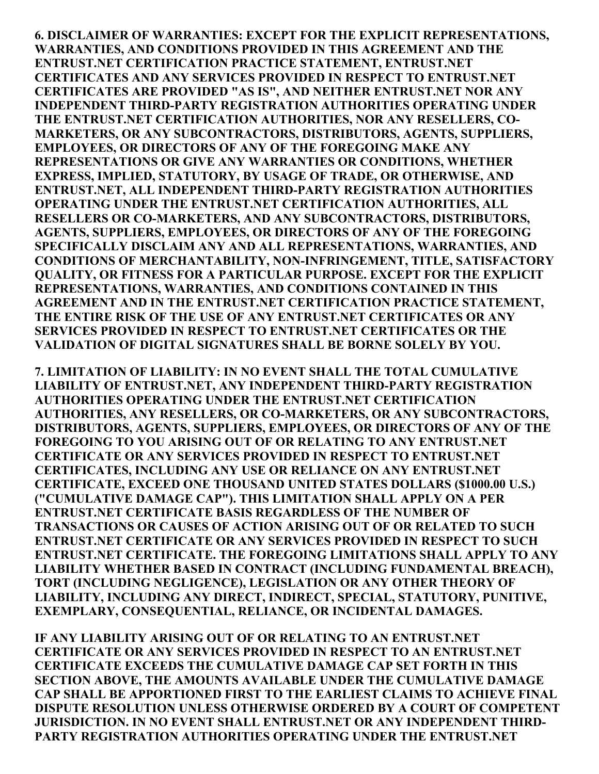6. DISCLAIMER OF WARRANTIES: EXCEPT FOR THE EXPLICIT REPRESENTATIONS, WARRANTIES, AND CONDITIONS PROVIDED IN THIS AGREEMENT AND THE ENTRUST.NET CERTIFICATION PRACTICE STATEMENT, ENTRUST.NET CERTIFICATES AND ANY SERVICES PROVIDED IN RESPECT TO ENTRUST.NET CERTIFICATES ARE PROVIDED "AS IS", AND NEITHER ENTRUST.NET NOR ANY INDEPENDENT THIRD-PARTY REGISTRATION AUTHORITIES OPERATING UNDER THE ENTRUST.NET CERTIFICATION AUTHORITIES, NOR ANY RESELLERS, CO-MARKETERS, OR ANY SUBCONTRACTORS, DISTRIBUTORS, AGENTS, SUPPLIERS, EMPLOYEES, OR DIRECTORS OF ANY OF THE FOREGOING MAKE ANY REPRESENTATIONS OR GIVE ANY WARRANTIES OR CONDITIONS, WHETHER EXPRESS, IMPLIED, STATUTORY, BY USAGE OF TRADE, OR OTHERWISE, AND ENTRUST.NET, ALL INDEPENDENT THIRD-PARTY REGISTRATION AUTHORITIES OPERATING UNDER THE ENTRUST.NET CERTIFICATION AUTHORITIES, ALL RESELLERS OR CO-MARKETERS, AND ANY SUBCONTRACTORS, DISTRIBUTORS, AGENTS, SUPPLIERS, EMPLOYEES, OR DIRECTORS OF ANY OF THE FOREGOING SPECIFICALLY DISCLAIM ANY AND ALL REPRESENTATIONS, WARRANTIES, AND CONDITIONS OF MERCHANTABILITY, NON-INFRINGEMENT, TITLE, SATISFACTORY QUALITY, OR FITNESS FOR A PARTICULAR PURPOSE. EXCEPT FOR THE EXPLICIT REPRESENTATIONS, WARRANTIES, AND CONDITIONS CONTAINED IN THIS AGREEMENT AND IN THE ENTRUST.NET CERTIFICATION PRACTICE STATEMENT, THE ENTIRE RISK OF THE USE OF ANY ENTRUST.NET CERTIFICATES OR ANY SERVICES PROVIDED IN RESPECT TO ENTRUST.NET CERTIFICATES OR THE VALIDATION OF DIGITAL SIGNATURES SHALL BE BORNE SOLELY BY YOU.

7. LIMITATION OF LIABILITY: IN NO EVENT SHALL THE TOTAL CUMULATIVE LIABILITY OF ENTRUST.NET, ANY INDEPENDENT THIRD-PARTY REGISTRATION AUTHORITIES OPERATING UNDER THE ENTRUST.NET CERTIFICATION AUTHORITIES, ANY RESELLERS, OR CO-MARKETERS, OR ANY SUBCONTRACTORS, DISTRIBUTORS, AGENTS, SUPPLIERS, EMPLOYEES, OR DIRECTORS OF ANY OF THE FOREGOING TO YOU ARISING OUT OF OR RELATING TO ANY ENTRUST.NET CERTIFICATE OR ANY SERVICES PROVIDED IN RESPECT TO ENTRUST.NET CERTIFICATES, INCLUDING ANY USE OR RELIANCE ON ANY ENTRUST.NET CERTIFICATE, EXCEED ONE THOUSAND UNITED STATES DOLLARS (\$1000.00 U.S.) ("CUMULATIVE DAMAGE CAP"). THIS LIMITATION SHALL APPLY ON A PER ENTRUST.NET CERTIFICATE BASIS REGARDLESS OF THE NUMBER OF TRANSACTIONS OR CAUSES OF ACTION ARISING OUT OF OR RELATED TO SUCH ENTRUST.NET CERTIFICATE OR ANY SERVICES PROVIDED IN RESPECT TO SUCH ENTRUST.NET CERTIFICATE. THE FOREGOING LIMITATIONS SHALL APPLY TO ANY LIABILITY WHETHER BASED IN CONTRACT (INCLUDING FUNDAMENTAL BREACH), TORT (INCLUDING NEGLIGENCE), LEGISLATION OR ANY OTHER THEORY OF LIABILITY, INCLUDING ANY DIRECT, INDIRECT, SPECIAL, STATUTORY, PUNITIVE, EXEMPLARY, CONSEQUENTIAL, RELIANCE, OR INCIDENTAL DAMAGES.

IF ANY LIABILITY ARISING OUT OF OR RELATING TO AN ENTRUST.NET CERTIFICATE OR ANY SERVICES PROVIDED IN RESPECT TO AN ENTRUST.NET CERTIFICATE EXCEEDS THE CUMULATIVE DAMAGE CAP SET FORTH IN THIS SECTION ABOVE, THE AMOUNTS AVAILABLE UNDER THE CUMULATIVE DAMAGE CAP SHALL BE APPORTIONED FIRST TO THE EARLIEST CLAIMS TO ACHIEVE FINAL DISPUTE RESOLUTION UNLESS OTHERWISE ORDERED BY A COURT OF COMPETENT JURISDICTION. IN NO EVENT SHALL ENTRUST.NET OR ANY INDEPENDENT THIRD-PARTY REGISTRATION AUTHORITIES OPERATING UNDER THE ENTRUST.NET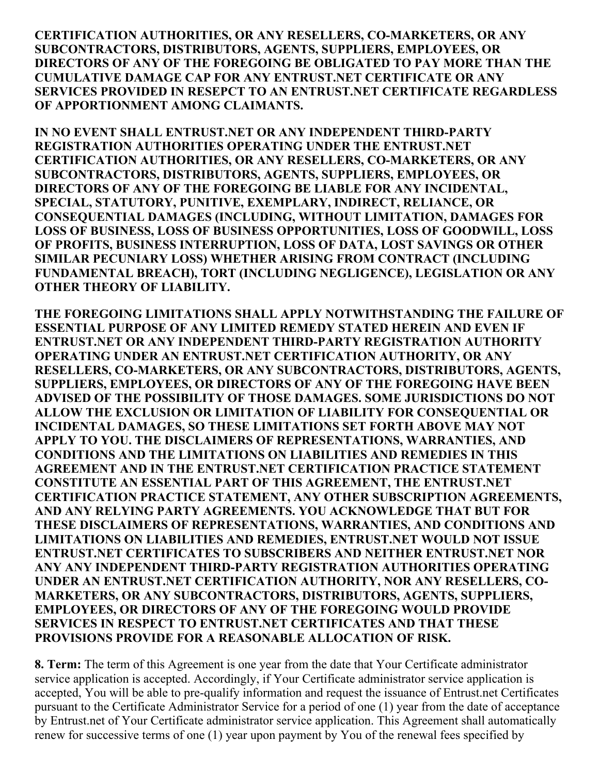CERTIFICATION AUTHORITIES, OR ANY RESELLERS, CO-MARKETERS, OR ANY SUBCONTRACTORS, DISTRIBUTORS, AGENTS, SUPPLIERS, EMPLOYEES, OR DIRECTORS OF ANY OF THE FOREGOING BE OBLIGATED TO PAY MORE THAN THE CUMULATIVE DAMAGE CAP FOR ANY ENTRUST.NET CERTIFICATE OR ANY SERVICES PROVIDED IN RESEPCT TO AN ENTRUST.NET CERTIFICATE REGARDLESS OF APPORTIONMENT AMONG CLAIMANTS.

IN NO EVENT SHALL ENTRUST.NET OR ANY INDEPENDENT THIRD-PARTY REGISTRATION AUTHORITIES OPERATING UNDER THE ENTRUST.NET CERTIFICATION AUTHORITIES, OR ANY RESELLERS, CO-MARKETERS, OR ANY SUBCONTRACTORS, DISTRIBUTORS, AGENTS, SUPPLIERS, EMPLOYEES, OR DIRECTORS OF ANY OF THE FOREGOING BE LIABLE FOR ANY INCIDENTAL, SPECIAL, STATUTORY, PUNITIVE, EXEMPLARY, INDIRECT, RELIANCE, OR CONSEQUENTIAL DAMAGES (INCLUDING, WITHOUT LIMITATION, DAMAGES FOR LOSS OF BUSINESS, LOSS OF BUSINESS OPPORTUNITIES, LOSS OF GOODWILL, LOSS OF PROFITS, BUSINESS INTERRUPTION, LOSS OF DATA, LOST SAVINGS OR OTHER SIMILAR PECUNIARY LOSS) WHETHER ARISING FROM CONTRACT (INCLUDING FUNDAMENTAL BREACH), TORT (INCLUDING NEGLIGENCE), LEGISLATION OR ANY OTHER THEORY OF LIABILITY.

THE FOREGOING LIMITATIONS SHALL APPLY NOTWITHSTANDING THE FAILURE OF ESSENTIAL PURPOSE OF ANY LIMITED REMEDY STATED HEREIN AND EVEN IF ENTRUST.NET OR ANY INDEPENDENT THIRD-PARTY REGISTRATION AUTHORITY OPERATING UNDER AN ENTRUST.NET CERTIFICATION AUTHORITY, OR ANY RESELLERS, CO-MARKETERS, OR ANY SUBCONTRACTORS, DISTRIBUTORS, AGENTS, SUPPLIERS, EMPLOYEES, OR DIRECTORS OF ANY OF THE FOREGOING HAVE BEEN ADVISED OF THE POSSIBILITY OF THOSE DAMAGES. SOME JURISDICTIONS DO NOT ALLOW THE EXCLUSION OR LIMITATION OF LIABILITY FOR CONSEQUENTIAL OR INCIDENTAL DAMAGES, SO THESE LIMITATIONS SET FORTH ABOVE MAY NOT APPLY TO YOU. THE DISCLAIMERS OF REPRESENTATIONS, WARRANTIES, AND CONDITIONS AND THE LIMITATIONS ON LIABILITIES AND REMEDIES IN THIS AGREEMENT AND IN THE ENTRUST.NET CERTIFICATION PRACTICE STATEMENT CONSTITUTE AN ESSENTIAL PART OF THIS AGREEMENT, THE ENTRUST.NET CERTIFICATION PRACTICE STATEMENT, ANY OTHER SUBSCRIPTION AGREEMENTS, AND ANY RELYING PARTY AGREEMENTS. YOU ACKNOWLEDGE THAT BUT FOR THESE DISCLAIMERS OF REPRESENTATIONS, WARRANTIES, AND CONDITIONS AND LIMITATIONS ON LIABILITIES AND REMEDIES, ENTRUST.NET WOULD NOT ISSUE ENTRUST.NET CERTIFICATES TO SUBSCRIBERS AND NEITHER ENTRUST.NET NOR ANY ANY INDEPENDENT THIRD-PARTY REGISTRATION AUTHORITIES OPERATING UNDER AN ENTRUST.NET CERTIFICATION AUTHORITY, NOR ANY RESELLERS, CO-MARKETERS, OR ANY SUBCONTRACTORS, DISTRIBUTORS, AGENTS, SUPPLIERS, EMPLOYEES, OR DIRECTORS OF ANY OF THE FOREGOING WOULD PROVIDE SERVICES IN RESPECT TO ENTRUST.NET CERTIFICATES AND THAT THESE PROVISIONS PROVIDE FOR A REASONABLE ALLOCATION OF RISK.

8. Term: The term of this Agreement is one year from the date that Your Certificate administrator service application is accepted. Accordingly, if Your Certificate administrator service application is accepted, You will be able to pre-qualify information and request the issuance of Entrust.net Certificates pursuant to the Certificate Administrator Service for a period of one (1) year from the date of acceptance by Entrust.net of Your Certificate administrator service application. This Agreement shall automatically renew for successive terms of one (1) year upon payment by You of the renewal fees specified by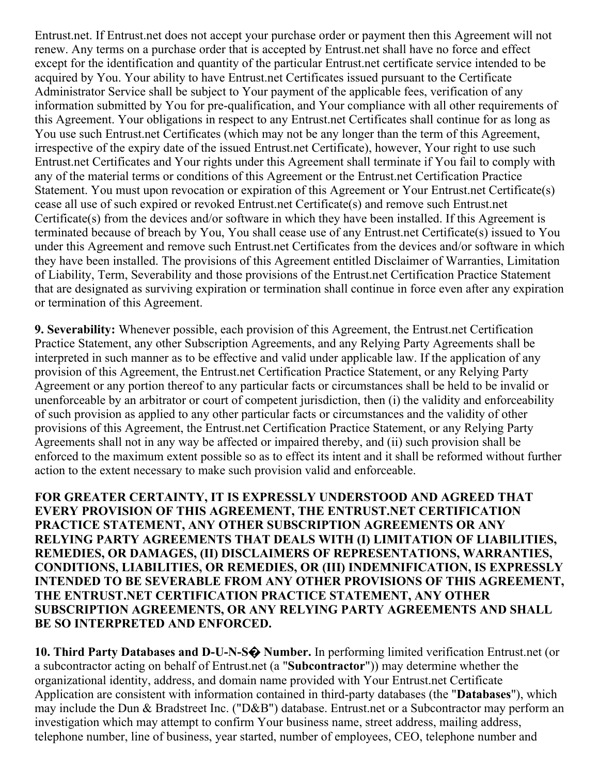Entrust.net. If Entrust.net does not accept your purchase order or payment then this Agreement will not renew. Any terms on a purchase order that is accepted by Entrust.net shall have no force and effect except for the identification and quantity of the particular Entrust.net certificate service intended to be acquired by You. Your ability to have Entrust.net Certificates issued pursuant to the Certificate Administrator Service shall be subject to Your payment of the applicable fees, verification of any information submitted by You for pre-qualification, and Your compliance with all other requirements of this Agreement. Your obligations in respect to any Entrust.net Certificates shall continue for as long as You use such Entrust.net Certificates (which may not be any longer than the term of this Agreement, irrespective of the expiry date of the issued Entrust.net Certificate), however, Your right to use such Entrust.net Certificates and Your rights under this Agreement shall terminate if You fail to comply with any of the material terms or conditions of this Agreement or the Entrust.net Certification Practice Statement. You must upon revocation or expiration of this Agreement or Your Entrust.net Certificate(s) cease all use of such expired or revoked Entrust.net Certificate(s) and remove such Entrust.net Certificate(s) from the devices and/or software in which they have been installed. If this Agreement is terminated because of breach by You, You shall cease use of any Entrust.net Certificate(s) issued to You under this Agreement and remove such Entrust.net Certificates from the devices and/or software in which they have been installed. The provisions of this Agreement entitled Disclaimer of Warranties, Limitation of Liability, Term, Severability and those provisions of the Entrust.net Certification Practice Statement that are designated as surviving expiration or termination shall continue in force even after any expiration or termination of this Agreement.

9. Severability: Whenever possible, each provision of this Agreement, the Entrust.net Certification Practice Statement, any other Subscription Agreements, and any Relying Party Agreements shall be interpreted in such manner as to be effective and valid under applicable law. If the application of any provision of this Agreement, the Entrust.net Certification Practice Statement, or any Relying Party Agreement or any portion thereof to any particular facts or circumstances shall be held to be invalid or unenforceable by an arbitrator or court of competent jurisdiction, then (i) the validity and enforceability of such provision as applied to any other particular facts or circumstances and the validity of other provisions of this Agreement, the Entrust.net Certification Practice Statement, or any Relying Party Agreements shall not in any way be affected or impaired thereby, and (ii) such provision shall be enforced to the maximum extent possible so as to effect its intent and it shall be reformed without further action to the extent necessary to make such provision valid and enforceable.

FOR GREATER CERTAINTY, IT IS EXPRESSLY UNDERSTOOD AND AGREED THAT EVERY PROVISION OF THIS AGREEMENT, THE ENTRUST.NET CERTIFICATION PRACTICE STATEMENT, ANY OTHER SUBSCRIPTION AGREEMENTS OR ANY RELYING PARTY AGREEMENTS THAT DEALS WITH (I) LIMITATION OF LIABILITIES, REMEDIES, OR DAMAGES, (II) DISCLAIMERS OF REPRESENTATIONS, WARRANTIES, CONDITIONS, LIABILITIES, OR REMEDIES, OR (III) INDEMNIFICATION, IS EXPRESSLY INTENDED TO BE SEVERABLE FROM ANY OTHER PROVISIONS OF THIS AGREEMENT, THE ENTRUST.NET CERTIFICATION PRACTICE STATEMENT, ANY OTHER SUBSCRIPTION AGREEMENTS, OR ANY RELYING PARTY AGREEMENTS AND SHALL BE SO INTERPRETED AND ENFORCED.

10. Third Party Databases and D-U-N-S $\odot$  Number. In performing limited verification Entrust.net (or a subcontractor acting on behalf of Entrust.net (a "Subcontractor")) may determine whether the organizational identity, address, and domain name provided with Your Entrust.net Certificate Application are consistent with information contained in third-party databases (the "**Databases**"), which may include the Dun & Bradstreet Inc. ("D&B") database. Entrust.net or a Subcontractor may perform an investigation which may attempt to confirm Your business name, street address, mailing address, telephone number, line of business, year started, number of employees, CEO, telephone number and